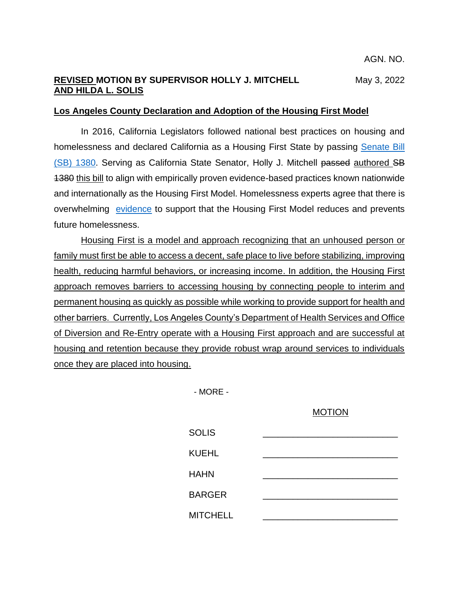## **REVISED MOTION BY SUPERVISOR HOLLY J. MITCHELL May 3, 2022 AND HILDA L. SOLIS**

#### **Los Angeles County Declaration and Adoption of the Housing First Model**

In 2016, California Legislators followed national best practices on housing and homelessness and declared California as a Housing First State by passing [Senate Bill](https://leginfo.legislature.ca.gov/faces/billNavClient.xhtml?bill_id=201520160SB1380) (SB) [1380.](https://leginfo.legislature.ca.gov/faces/billNavClient.xhtml?bill_id=201520160SB1380) Serving as California State Senator, Holly J. Mitchell passed authored SB 1380 this bill to align with empirically proven evidence-based practices known nationwide and internationally as the Housing First Model. Homelessness experts agree that there is overwhelming [evidence](https://endhomelessness.org/resource/data-visualization-the-evidence-on-housing-first/) to support that the Housing First Model reduces and prevents future homelessness.

Housing First is a model and approach recognizing that an unhoused person or family must first be able to access a decent, safe place to live before stabilizing, improving health, reducing harmful behaviors, or increasing income. In addition, the Housing First approach removes barriers to accessing housing by connecting people to interim and permanent housing as quickly as possible while working to provide support for health and other barriers. Currently, Los Angeles County's Department of Health Services and Office of Diversion and Re-Entry operate with a Housing First approach and are successful at housing and retention because they provide robust wrap around services to individuals once they are placed into housing.

- MORE -

### MOTION

| <b>SOLIS</b>    |  |
|-----------------|--|
| <b>KUEHL</b>    |  |
| <b>HAHN</b>     |  |
| <b>BARGER</b>   |  |
| <b>MITCHELL</b> |  |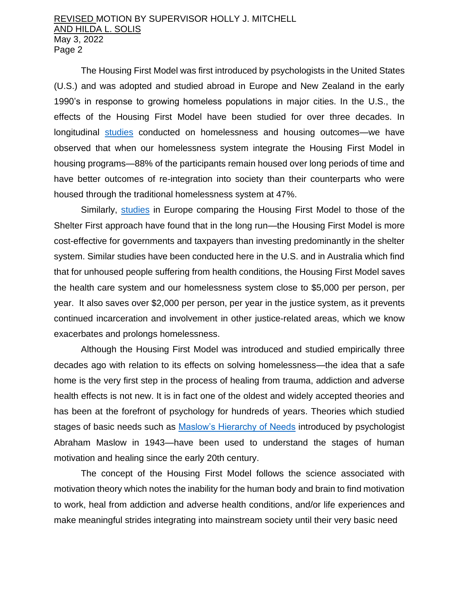#### REVISED MOTION BY SUPERVISOR HOLLY J. MITCHELL AND HILDA L. SOLIS May 3, 2022 Page 2

The Housing First Model was first introduced by psychologists in the United States (U.S.) and was adopted and studied abroad in Europe and New Zealand in the early 1990's in response to growing homeless populations in major cities. In the U.S., the effects of the Housing First Model have been studied for over three decades. In longitudinal [studies](https://www.ahuri.edu.au/research/final-reports/184) conducted on homelessness and housing outcomes—we have observed that when our homelessness system integrate the Housing First Model in housing programs—88% of the participants remain housed over long periods of time and have better outcomes of re-integration into society than their counterparts who were housed through the traditional homelessness system at 47%.

Similarly, [studies](https://www.ahuri.edu.au/research/brief/what-housing-first-model-and-how-does-it-help-those-experiencing-homelessness?gclid=CjwKCAjwx46TBhBhEiwArA_DjLEcJBtUpsPbpSvdgGzCC0Ed6gzF5j4F6cxb6LD3iXvLDx_urcEmORoC_F0QAvD_BwE) in Europe comparing the Housing First Model to those of the Shelter First approach have found that in the long run—the Housing First Model is more cost-effective for governments and taxpayers than investing predominantly in the shelter system. Similar studies have been conducted here in the U.S. and in Australia which find that for unhoused people suffering from health conditions, the Housing First Model saves the health care system and our homelessness system close to \$5,000 per person, per year. It also saves over \$2,000 per person, per year in the justice system, as it prevents continued incarceration and involvement in other justice-related areas, which we know exacerbates and prolongs homelessness.

Although the Housing First Model was introduced and studied empirically three decades ago with relation to its effects on solving homelessness—the idea that a safe home is the very first step in the process of healing from trauma, addiction and adverse health effects is not new. It is in fact one of the oldest and widely accepted theories and has been at the forefront of psychology for hundreds of years. Theories which studied stages of basic needs such as [Maslow's Hierarchy of Needs](https://psychclassics.yorku.ca/Maslow/motivation.htm) introduced by psychologist Abraham Maslow in 1943—have been used to understand the stages of human motivation and healing since the early 20th century.

The concept of the Housing First Model follows the science associated with motivation theory which notes the inability for the human body and brain to find motivation to work, heal from addiction and adverse health conditions, and/or life experiences and make meaningful strides integrating into mainstream society until their very basic need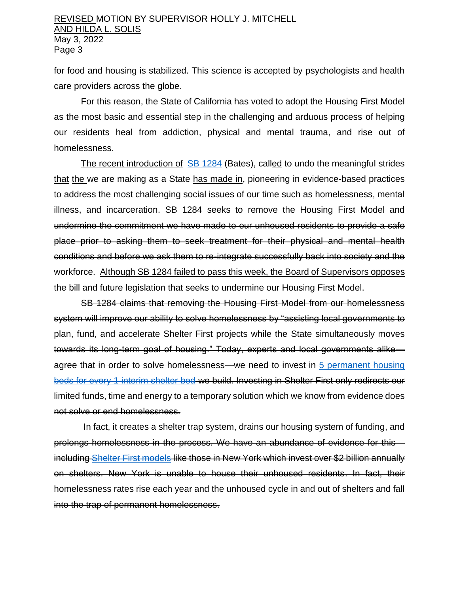#### REVISED MOTION BY SUPERVISOR HOLLY J. MITCHELL AND HILDA L. SOLIS May 3, 2022 Page 3

for food and housing is stabilized. This science is accepted by psychologists and health care providers across the globe.

For this reason, the State of California has voted to adopt the Housing First Model as the most basic and essential step in the challenging and arduous process of helping our residents heal from addiction, physical and mental trauma, and rise out of homelessness.

The recent introduction of SB [1284](https://leginfo.legislature.ca.gov/faces/billNavClient.xhtml?bill_id=202120220SB1284) (Bates), called to undo the meaningful strides that the we are making as a State has made in, pioneering in evidence-based practices to address the most challenging social issues of our time such as homelessness, mental illness, and incarceration. SB 1284 seeks to remove the Housing First Model and undermine the commitment we have made to our unhoused residents to provide a safe place prior to asking them to seek treatment for their physical and mental health conditions and before we ask them to re-integrate successfully back into society and the workforce. Although SB 1284 failed to pass this week, the Board of Supervisors opposes the bill and future legislation that seeks to undermine our Housing First Model.

SB 1284 claims that removing the Housing First Model from our homelessness system will improve our ability to solve homelessness by "assisting local governments to plan, fund, and accelerate Shelter First projects while the State simultaneously moves towards its long-term goal of housing." Today, experts and local governments alike agree that in order to solve homelessness—we need to invest in 5 permanent housing [beds for every 1 interim shelter bed](https://www.lahsa.org/news?article=849-lahsa-releases-2021-housing-inventory-count-and-shelter-count-results) we build. Investing in Shelter First only redirects our limited funds, time and energy to a temporary solution which we know from evidence does not solve or end homelessness.

In fact, it creates a shelter trap system, drains our housing system of funding, and prolongs homelessness in the process. We have an abundance of evidence for this including [Shelter First models](https://council.nyc.gov/budget/wp-content/uploads/sites/54/2021/03/071-DHS.pdf) like those in New York which invest over \$2 billion annually on shelters. New York is unable to house their unhoused residents. In fact, their homelessness rates rise each year and the unhoused cycle in and out of shelters and fall into the trap of permanent homelessness.